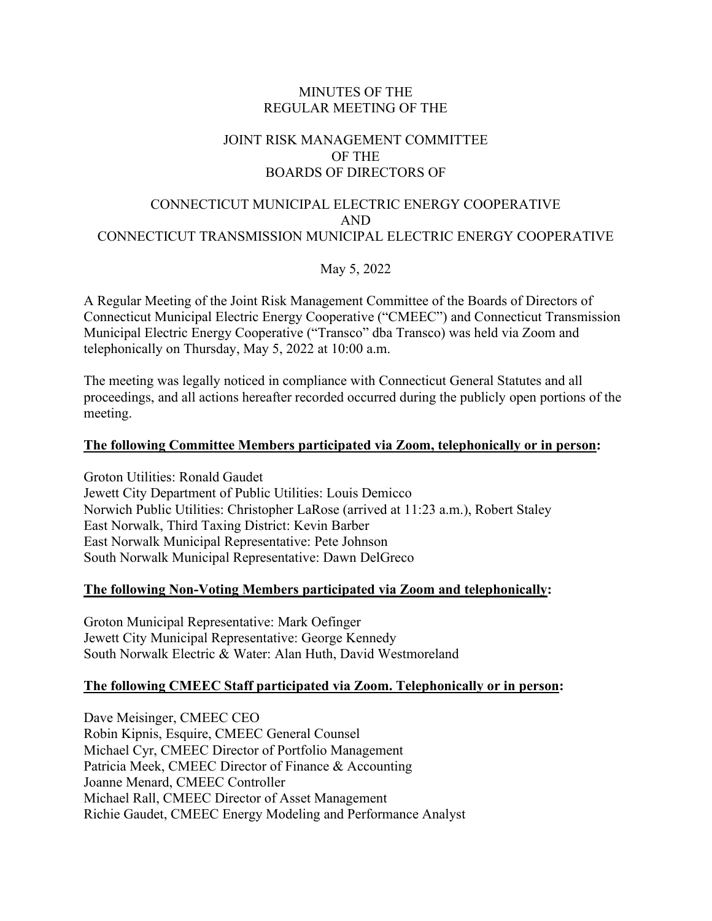## MINUTES OF THE REGULAR MEETING OF THE

# JOINT RISK MANAGEMENT COMMITTEE OF THE BOARDS OF DIRECTORS OF

## CONNECTICUT MUNICIPAL ELECTRIC ENERGY COOPERATIVE AND CONNECTICUT TRANSMISSION MUNICIPAL ELECTRIC ENERGY COOPERATIVE

May 5, 2022

A Regular Meeting of the Joint Risk Management Committee of the Boards of Directors of Connecticut Municipal Electric Energy Cooperative ("CMEEC") and Connecticut Transmission Municipal Electric Energy Cooperative ("Transco" dba Transco) was held via Zoom and telephonically on Thursday, May 5, 2022 at 10:00 a.m.

The meeting was legally noticed in compliance with Connecticut General Statutes and all proceedings, and all actions hereafter recorded occurred during the publicly open portions of the meeting.

## **The following Committee Members participated via Zoom, telephonically or in person:**

Groton Utilities: Ronald Gaudet Jewett City Department of Public Utilities: Louis Demicco Norwich Public Utilities: Christopher LaRose (arrived at 11:23 a.m.), Robert Staley East Norwalk, Third Taxing District: Kevin Barber East Norwalk Municipal Representative: Pete Johnson South Norwalk Municipal Representative: Dawn DelGreco

# **The following Non-Voting Members participated via Zoom and telephonically:**

Groton Municipal Representative: Mark Oefinger Jewett City Municipal Representative: George Kennedy South Norwalk Electric & Water: Alan Huth, David Westmoreland

# **The following CMEEC Staff participated via Zoom. Telephonically or in person:**

Dave Meisinger, CMEEC CEO Robin Kipnis, Esquire, CMEEC General Counsel Michael Cyr, CMEEC Director of Portfolio Management Patricia Meek, CMEEC Director of Finance & Accounting Joanne Menard, CMEEC Controller Michael Rall, CMEEC Director of Asset Management Richie Gaudet, CMEEC Energy Modeling and Performance Analyst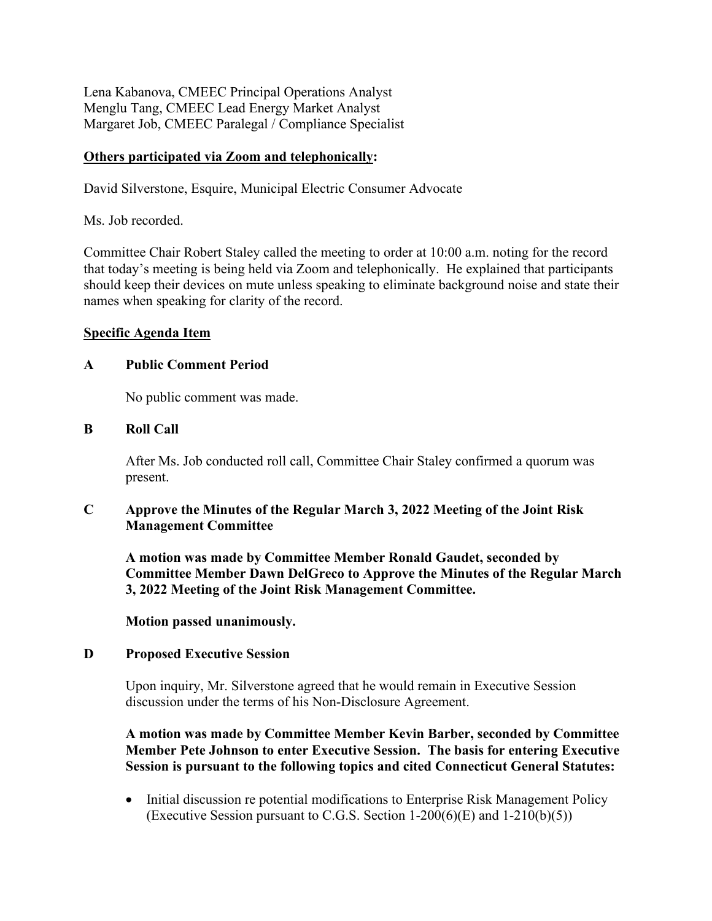Lena Kabanova, CMEEC Principal Operations Analyst Menglu Tang, CMEEC Lead Energy Market Analyst Margaret Job, CMEEC Paralegal / Compliance Specialist

## **Others participated via Zoom and telephonically:**

David Silverstone, Esquire, Municipal Electric Consumer Advocate

Ms. Job recorded.

Committee Chair Robert Staley called the meeting to order at 10:00 a.m. noting for the record that today's meeting is being held via Zoom and telephonically. He explained that participants should keep their devices on mute unless speaking to eliminate background noise and state their names when speaking for clarity of the record.

### **Specific Agenda Item**

## **A Public Comment Period**

No public comment was made.

## **B Roll Call**

After Ms. Job conducted roll call, Committee Chair Staley confirmed a quorum was present.

# **C Approve the Minutes of the Regular March 3, 2022 Meeting of the Joint Risk Management Committee**

**A motion was made by Committee Member Ronald Gaudet, seconded by Committee Member Dawn DelGreco to Approve the Minutes of the Regular March 3, 2022 Meeting of the Joint Risk Management Committee.** 

**Motion passed unanimously.**

### **D Proposed Executive Session**

Upon inquiry, Mr. Silverstone agreed that he would remain in Executive Session discussion under the terms of his Non-Disclosure Agreement.

## **A motion was made by Committee Member Kevin Barber, seconded by Committee Member Pete Johnson to enter Executive Session. The basis for entering Executive Session is pursuant to the following topics and cited Connecticut General Statutes:**

• Initial discussion re potential modifications to Enterprise Risk Management Policy (Executive Session pursuant to C.G.S. Section  $1-200(6)$ (E) and  $1-210(b)(5)$ )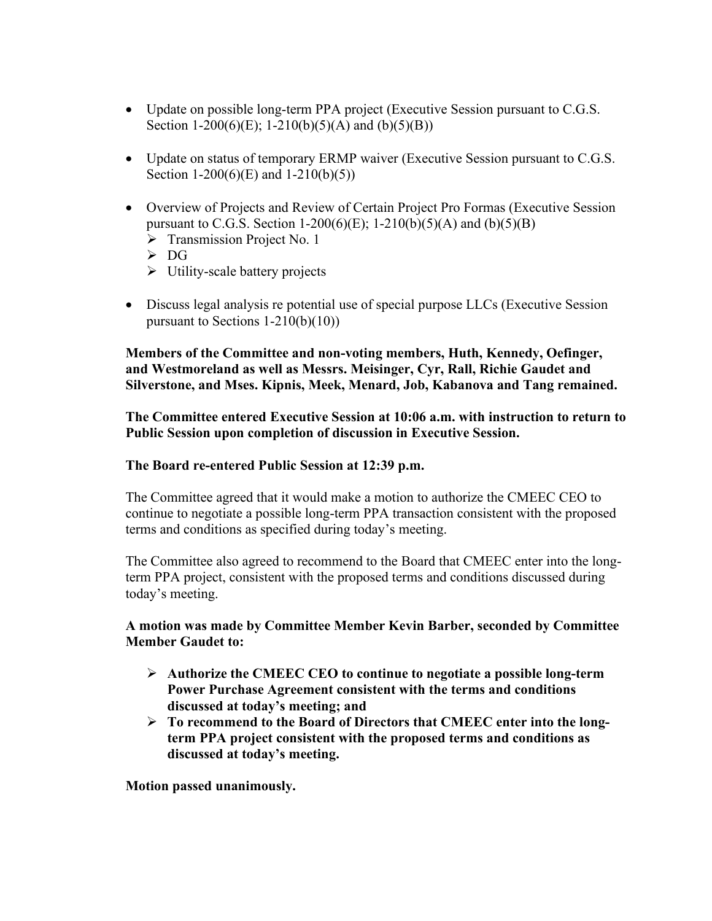- Update on possible long-term PPA project (Executive Session pursuant to C.G.S.) Section 1-200(6)(E); 1-210(b)(5)(A) and (b)(5)(B))
- Update on status of temporary ERMP waiver (Executive Session pursuant to C.G.S. Section 1-200(6)(E) and 1-210(b)(5))
- Overview of Projects and Review of Certain Project Pro Formas (Executive Session pursuant to C.G.S. Section 1-200(6)(E); 1-210(b)(5)(A) and (b)(5)(B)
	- $\triangleright$  Transmission Project No. 1
	- $\triangleright$  DG
	- $\triangleright$  Utility-scale battery projects
- Discuss legal analysis re potential use of special purpose LLCs (Executive Session pursuant to Sections 1-210(b)(10))

**Members of the Committee and non-voting members, Huth, Kennedy, Oefinger, and Westmoreland as well as Messrs. Meisinger, Cyr, Rall, Richie Gaudet and Silverstone, and Mses. Kipnis, Meek, Menard, Job, Kabanova and Tang remained.**

**The Committee entered Executive Session at 10:06 a.m. with instruction to return to Public Session upon completion of discussion in Executive Session.**

### **The Board re-entered Public Session at 12:39 p.m.**

The Committee agreed that it would make a motion to authorize the CMEEC CEO to continue to negotiate a possible long-term PPA transaction consistent with the proposed terms and conditions as specified during today's meeting.

The Committee also agreed to recommend to the Board that CMEEC enter into the longterm PPA project, consistent with the proposed terms and conditions discussed during today's meeting.

## **A motion was made by Committee Member Kevin Barber, seconded by Committee Member Gaudet to:**

- **Authorize the CMEEC CEO to continue to negotiate a possible long-term Power Purchase Agreement consistent with the terms and conditions discussed at today's meeting; and**
- **To recommend to the Board of Directors that CMEEC enter into the longterm PPA project consistent with the proposed terms and conditions as discussed at today's meeting.**

**Motion passed unanimously.**